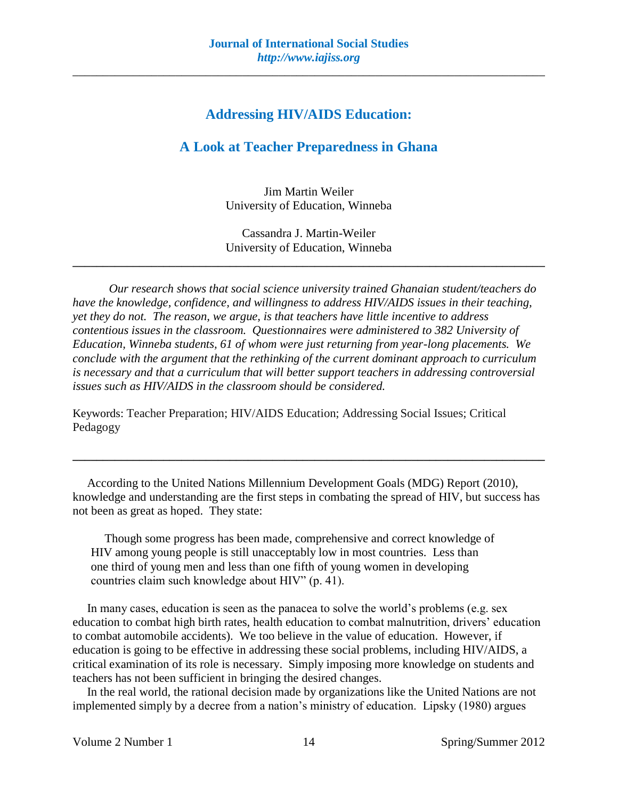# **Addressing HIV/AIDS Education:**

# **A Look at Teacher Preparedness in Ghana**

Jim Martin Weiler University of Education, Winneba

Cassandra J. Martin-Weiler University of Education, Winneba

**\_\_\_\_\_\_\_\_\_\_\_\_\_\_\_\_\_\_\_\_\_\_\_\_\_\_\_\_\_\_\_\_\_\_\_\_\_\_\_\_\_\_\_\_\_\_\_\_\_\_\_\_\_\_\_\_\_\_\_\_\_\_\_\_\_\_\_\_\_\_\_\_\_\_\_\_\_\_**

*Our research shows that social science university trained Ghanaian student/teachers do have the knowledge, confidence, and willingness to address HIV/AIDS issues in their teaching, yet they do not. The reason, we argue, is that teachers have little incentive to address contentious issues in the classroom. Questionnaires were administered to 382 University of Education, Winneba students, 61 of whom were just returning from year-long placements. We conclude with the argument that the rethinking of the current dominant approach to curriculum is necessary and that a curriculum that will better support teachers in addressing controversial issues such as HIV/AIDS in the classroom should be considered.*

Keywords: Teacher Preparation; HIV/AIDS Education; Addressing Social Issues; Critical Pedagogy

According to the United Nations Millennium Development Goals (MDG) Report (2010), knowledge and understanding are the first steps in combating the spread of HIV, but success has not been as great as hoped. They state:

**\_\_\_\_\_\_\_\_\_\_\_\_\_\_\_\_\_\_\_\_\_\_\_\_\_\_\_\_\_\_\_\_\_\_\_\_\_\_\_\_\_\_\_\_\_\_\_\_\_\_\_\_\_\_\_\_\_\_\_\_\_\_\_\_\_\_\_\_\_\_\_\_\_\_\_\_\_\_**

Though some progress has been made, comprehensive and correct knowledge of HIV among young people is still unacceptably low in most countries. Less than one third of young men and less than one fifth of young women in developing countries claim such knowledge about HIV" (p. 41).

In many cases, education is seen as the panacea to solve the world's problems (e.g. sex education to combat high birth rates, health education to combat malnutrition, drivers' education to combat automobile accidents). We too believe in the value of education. However, if education is going to be effective in addressing these social problems, including HIV/AIDS, a critical examination of its role is necessary. Simply imposing more knowledge on students and teachers has not been sufficient in bringing the desired changes.

In the real world, the rational decision made by organizations like the United Nations are not implemented simply by a decree from a nation's ministry of education. Lipsky (1980) argues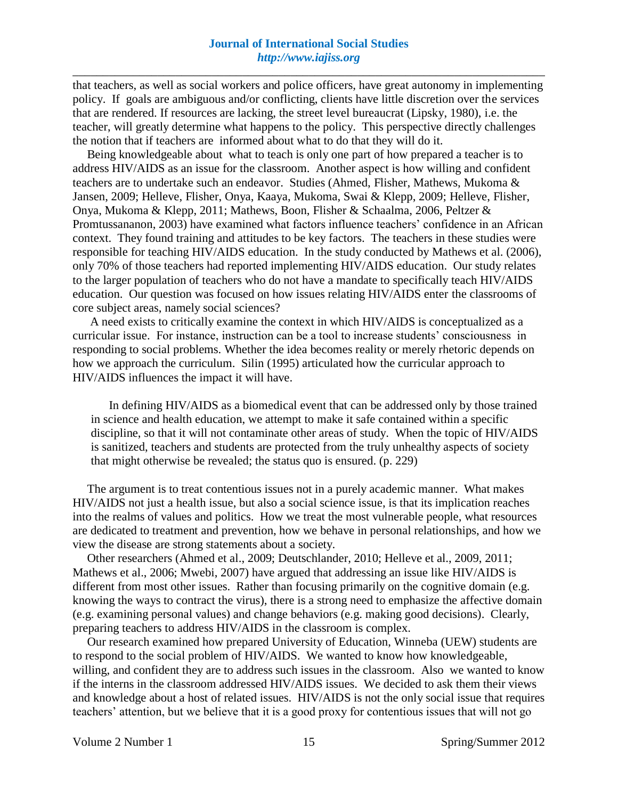that teachers, as well as social workers and police officers, have great autonomy in implementing policy. If goals are ambiguous and/or conflicting, clients have little discretion over the services that are rendered. If resources are lacking, the street level bureaucrat (Lipsky, 1980), i.e. the teacher, will greatly determine what happens to the policy. This perspective directly challenges the notion that if teachers are informed about what to do that they will do it.

Being knowledgeable about what to teach is only one part of how prepared a teacher is to address HIV/AIDS as an issue for the classroom. Another aspect is how willing and confident teachers are to undertake such an endeavor. Studies (Ahmed, Flisher, Mathews, Mukoma & Jansen, 2009; Helleve, Flisher, Onya, Kaaya, Mukoma, Swai & Klepp, 2009; Helleve, Flisher, Onya, Mukoma & Klepp, 2011; Mathews, Boon, Flisher & Schaalma, 2006, Peltzer & Promtussananon, 2003) have examined what factors influence teachers' confidence in an African context. They found training and attitudes to be key factors. The teachers in these studies were responsible for teaching HIV/AIDS education. In the study conducted by Mathews et al. (2006), only 70% of those teachers had reported implementing HIV/AIDS education. Our study relates to the larger population of teachers who do not have a mandate to specifically teach HIV/AIDS education. Our question was focused on how issues relating HIV/AIDS enter the classrooms of core subject areas, namely social sciences?

A need exists to critically examine the context in which HIV/AIDS is conceptualized as a curricular issue. For instance, instruction can be a tool to increase students' consciousness in responding to social problems. Whether the idea becomes reality or merely rhetoric depends on how we approach the curriculum. Silin (1995) articulated how the curricular approach to HIV/AIDS influences the impact it will have.

In defining HIV/AIDS as a biomedical event that can be addressed only by those trained in science and health education, we attempt to make it safe contained within a specific discipline, so that it will not contaminate other areas of study. When the topic of HIV/AIDS is sanitized, teachers and students are protected from the truly unhealthy aspects of society that might otherwise be revealed; the status quo is ensured. (p. 229)

The argument is to treat contentious issues not in a purely academic manner. What makes HIV/AIDS not just a health issue, but also a social science issue, is that its implication reaches into the realms of values and politics. How we treat the most vulnerable people, what resources are dedicated to treatment and prevention, how we behave in personal relationships, and how we view the disease are strong statements about a society.

Other researchers (Ahmed et al., 2009; Deutschlander, 2010; Helleve et al., 2009, 2011; Mathews et al., 2006; Mwebi, 2007) have argued that addressing an issue like HIV/AIDS is different from most other issues. Rather than focusing primarily on the cognitive domain (e.g. knowing the ways to contract the virus), there is a strong need to emphasize the affective domain (e.g. examining personal values) and change behaviors (e.g. making good decisions). Clearly, preparing teachers to address HIV/AIDS in the classroom is complex.

Our research examined how prepared University of Education, Winneba (UEW) students are to respond to the social problem of HIV/AIDS. We wanted to know how knowledgeable, willing, and confident they are to address such issues in the classroom. Also we wanted to know if the interns in the classroom addressed HIV/AIDS issues. We decided to ask them their views and knowledge about a host of related issues. HIV/AIDS is not the only social issue that requires teachers' attention, but we believe that it is a good proxy for contentious issues that will not go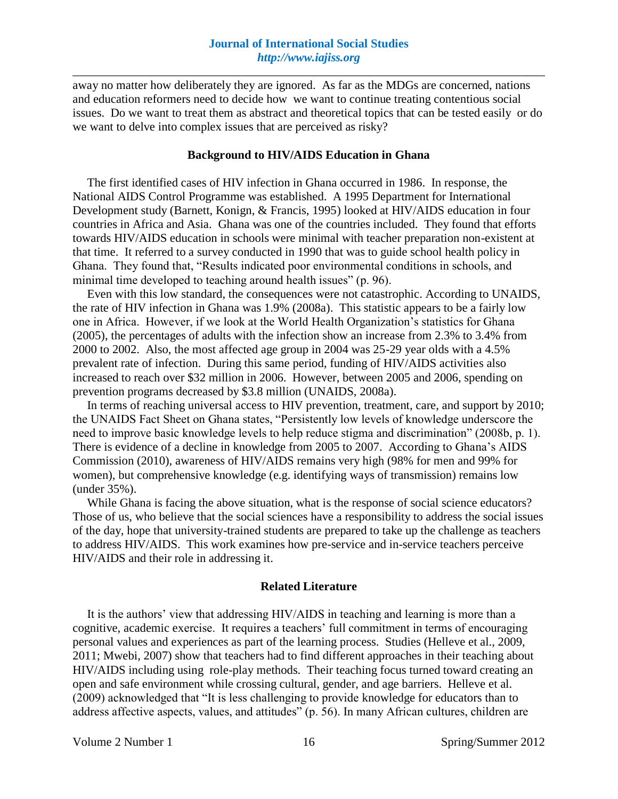away no matter how deliberately they are ignored. As far as the MDGs are concerned, nations and education reformers need to decide how we want to continue treating contentious social issues. Do we want to treat them as abstract and theoretical topics that can be tested easily or do we want to delve into complex issues that are perceived as risky?

#### **Background to HIV/AIDS Education in Ghana**

The first identified cases of HIV infection in Ghana occurred in 1986. In response, the National AIDS Control Programme was established. A 1995 Department for International Development study (Barnett, Konign, & Francis, 1995) looked at HIV/AIDS education in four countries in Africa and Asia. Ghana was one of the countries included. They found that efforts towards HIV/AIDS education in schools were minimal with teacher preparation non-existent at that time. It referred to a survey conducted in 1990 that was to guide school health policy in Ghana. They found that, "Results indicated poor environmental conditions in schools, and minimal time developed to teaching around health issues" (p. 96).

Even with this low standard, the consequences were not catastrophic. According to UNAIDS, the rate of HIV infection in Ghana was 1.9% (2008a). This statistic appears to be a fairly low one in Africa. However, if we look at the World Health Organization's statistics for Ghana (2005), the percentages of adults with the infection show an increase from 2.3% to 3.4% from 2000 to 2002. Also, the most affected age group in 2004 was 25-29 year olds with a 4.5% prevalent rate of infection. During this same period, funding of HIV/AIDS activities also increased to reach over \$32 million in 2006. However, between 2005 and 2006, spending on prevention programs decreased by \$3.8 million (UNAIDS, 2008a).

In terms of reaching universal access to HIV prevention, treatment, care, and support by 2010; the UNAIDS Fact Sheet on Ghana states, "Persistently low levels of knowledge underscore the need to improve basic knowledge levels to help reduce stigma and discrimination" (2008b, p. 1). There is evidence of a decline in knowledge from 2005 to 2007. According to Ghana's AIDS Commission (2010), awareness of HIV/AIDS remains very high (98% for men and 99% for women), but comprehensive knowledge (e.g. identifying ways of transmission) remains low (under 35%).

While Ghana is facing the above situation, what is the response of social science educators? Those of us, who believe that the social sciences have a responsibility to address the social issues of the day, hope that university-trained students are prepared to take up the challenge as teachers to address HIV/AIDS. This work examines how pre-service and in-service teachers perceive HIV/AIDS and their role in addressing it.

#### **Related Literature**

It is the authors' view that addressing HIV/AIDS in teaching and learning is more than a cognitive, academic exercise. It requires a teachers' full commitment in terms of encouraging personal values and experiences as part of the learning process. Studies (Helleve et al., 2009, 2011; Mwebi, 2007) show that teachers had to find different approaches in their teaching about HIV/AIDS including using role-play methods. Their teaching focus turned toward creating an open and safe environment while crossing cultural, gender, and age barriers. Helleve et al. (2009) acknowledged that "It is less challenging to provide knowledge for educators than to address affective aspects, values, and attitudes" (p. 56). In many African cultures, children are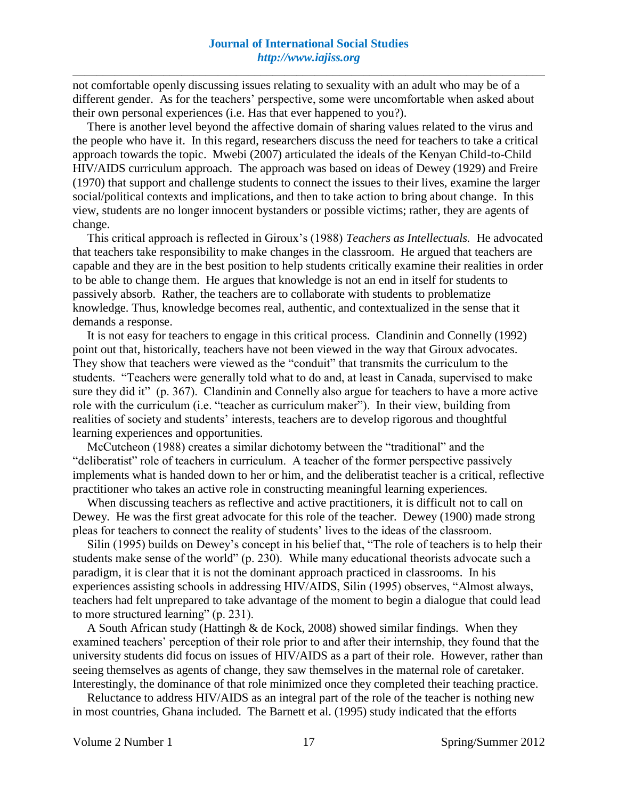not comfortable openly discussing issues relating to sexuality with an adult who may be of a different gender. As for the teachers' perspective, some were uncomfortable when asked about their own personal experiences (i.e. Has that ever happened to you?).

There is another level beyond the affective domain of sharing values related to the virus and the people who have it. In this regard, researchers discuss the need for teachers to take a critical approach towards the topic. Mwebi (2007) articulated the ideals of the Kenyan Child-to-Child HIV/AIDS curriculum approach. The approach was based on ideas of Dewey (1929) and Freire (1970) that support and challenge students to connect the issues to their lives, examine the larger social/political contexts and implications, and then to take action to bring about change. In this view, students are no longer innocent bystanders or possible victims; rather, they are agents of change.

This critical approach is reflected in Giroux's (1988) *Teachers as Intellectuals.* He advocated that teachers take responsibility to make changes in the classroom. He argued that teachers are capable and they are in the best position to help students critically examine their realities in order to be able to change them. He argues that knowledge is not an end in itself for students to passively absorb. Rather, the teachers are to collaborate with students to problematize knowledge. Thus, knowledge becomes real, authentic, and contextualized in the sense that it demands a response.

It is not easy for teachers to engage in this critical process. Clandinin and Connelly (1992) point out that, historically, teachers have not been viewed in the way that Giroux advocates. They show that teachers were viewed as the "conduit" that transmits the curriculum to the students. "Teachers were generally told what to do and, at least in Canada, supervised to make sure they did it" (p. 367). Clandinin and Connelly also argue for teachers to have a more active role with the curriculum (i.e. "teacher as curriculum maker"). In their view, building from realities of society and students' interests, teachers are to develop rigorous and thoughtful learning experiences and opportunities.

McCutcheon (1988) creates a similar dichotomy between the "traditional" and the "deliberatist" role of teachers in curriculum. A teacher of the former perspective passively implements what is handed down to her or him, and the deliberatist teacher is a critical, reflective practitioner who takes an active role in constructing meaningful learning experiences.

When discussing teachers as reflective and active practitioners, it is difficult not to call on Dewey. He was the first great advocate for this role of the teacher. Dewey (1900) made strong pleas for teachers to connect the reality of students' lives to the ideas of the classroom.

Silin (1995) builds on Dewey's concept in his belief that, "The role of teachers is to help their students make sense of the world" (p. 230). While many educational theorists advocate such a paradigm, it is clear that it is not the dominant approach practiced in classrooms. In his experiences assisting schools in addressing HIV/AIDS, Silin (1995) observes, "Almost always, teachers had felt unprepared to take advantage of the moment to begin a dialogue that could lead to more structured learning" (p. 231).

A South African study (Hattingh & de Kock, 2008) showed similar findings. When they examined teachers' perception of their role prior to and after their internship, they found that the university students did focus on issues of HIV/AIDS as a part of their role. However, rather than seeing themselves as agents of change, they saw themselves in the maternal role of caretaker. Interestingly, the dominance of that role minimized once they completed their teaching practice.

Reluctance to address HIV/AIDS as an integral part of the role of the teacher is nothing new in most countries, Ghana included. The Barnett et al. (1995) study indicated that the efforts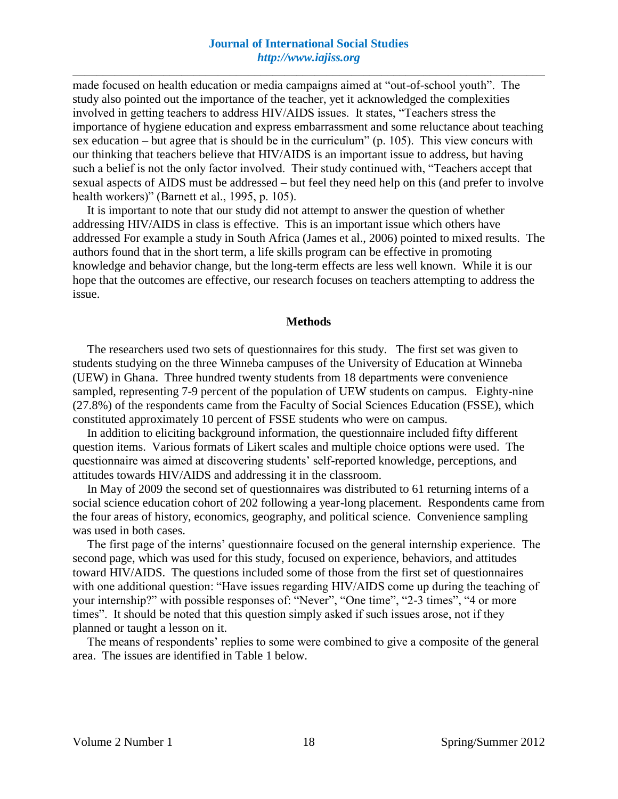made focused on health education or media campaigns aimed at "out-of-school youth". The study also pointed out the importance of the teacher, yet it acknowledged the complexities involved in getting teachers to address HIV/AIDS issues. It states, "Teachers stress the importance of hygiene education and express embarrassment and some reluctance about teaching sex education – but agree that is should be in the curriculum" (p. 105). This view concurs with our thinking that teachers believe that HIV/AIDS is an important issue to address, but having such a belief is not the only factor involved. Their study continued with, "Teachers accept that sexual aspects of AIDS must be addressed – but feel they need help on this (and prefer to involve health workers)" (Barnett et al., 1995, p. 105).

It is important to note that our study did not attempt to answer the question of whether addressing HIV/AIDS in class is effective. This is an important issue which others have addressed For example a study in South Africa (James et al., 2006) pointed to mixed results. The authors found that in the short term, a life skills program can be effective in promoting knowledge and behavior change, but the long-term effects are less well known. While it is our hope that the outcomes are effective, our research focuses on teachers attempting to address the issue.

#### **Methods**

The researchers used two sets of questionnaires for this study. The first set was given to students studying on the three Winneba campuses of the University of Education at Winneba (UEW) in Ghana. Three hundred twenty students from 18 departments were convenience sampled, representing 7-9 percent of the population of UEW students on campus. Eighty-nine (27.8%) of the respondents came from the Faculty of Social Sciences Education (FSSE), which constituted approximately 10 percent of FSSE students who were on campus.

In addition to eliciting background information, the questionnaire included fifty different question items. Various formats of Likert scales and multiple choice options were used. The questionnaire was aimed at discovering students' self-reported knowledge, perceptions, and attitudes towards HIV/AIDS and addressing it in the classroom.

In May of 2009 the second set of questionnaires was distributed to 61 returning interns of a social science education cohort of 202 following a year-long placement. Respondents came from the four areas of history, economics, geography, and political science. Convenience sampling was used in both cases.

The first page of the interns' questionnaire focused on the general internship experience. The second page, which was used for this study, focused on experience, behaviors, and attitudes toward HIV/AIDS. The questions included some of those from the first set of questionnaires with one additional question: "Have issues regarding HIV/AIDS come up during the teaching of your internship?" with possible responses of: "Never", "One time", "2-3 times", "4 or more times". It should be noted that this question simply asked if such issues arose, not if they planned or taught a lesson on it.

The means of respondents' replies to some were combined to give a composite of the general area. The issues are identified in Table 1 below.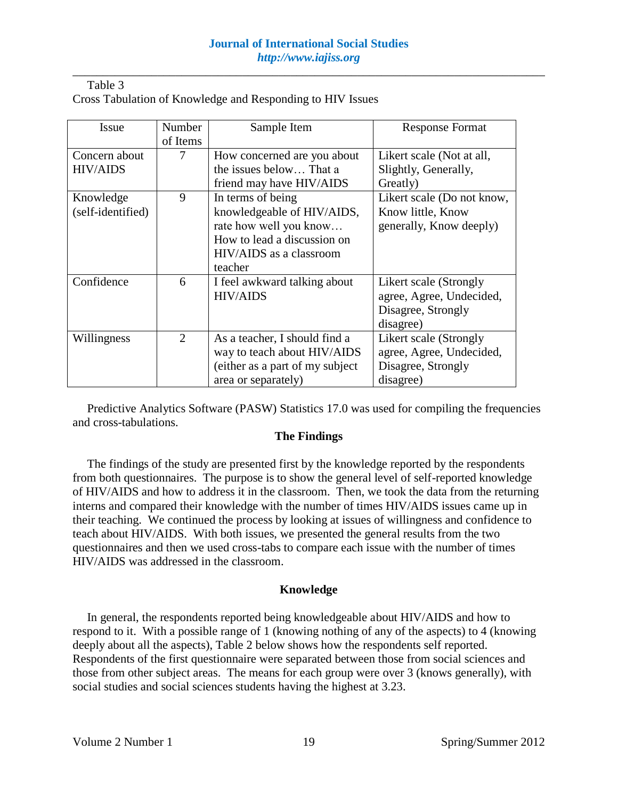| Table 3 |                                                            |  |
|---------|------------------------------------------------------------|--|
|         | Cross Tabulation of Knowledge and Responding to HIV Issues |  |

| Issue             | Number                      | Sample Item                      | <b>Response Format</b>     |
|-------------------|-----------------------------|----------------------------------|----------------------------|
|                   | of Items                    |                                  |                            |
| Concern about     | 7                           | How concerned are you about      | Likert scale (Not at all,  |
| <b>HIV/AIDS</b>   |                             | the issues below That a          | Slightly, Generally,       |
|                   |                             | friend may have HIV/AIDS         | Greatly)                   |
| Knowledge         | 9                           | In terms of being                | Likert scale (Do not know, |
| (self-identified) |                             | knowledgeable of HIV/AIDS,       | Know little, Know          |
|                   |                             | rate how well you know           | generally, Know deeply)    |
|                   |                             | How to lead a discussion on      |                            |
|                   |                             | HIV/AIDS as a classroom          |                            |
|                   |                             | teacher                          |                            |
| Confidence        | 6                           | I feel awkward talking about     | Likert scale (Strongly     |
|                   |                             | <b>HIV/AIDS</b>                  | agree, Agree, Undecided,   |
|                   |                             |                                  | Disagree, Strongly         |
|                   |                             |                                  | disagree)                  |
| Willingness       | $\mathcal{D}_{\mathcal{L}}$ | As a teacher, I should find a    | Likert scale (Strongly     |
|                   |                             | way to teach about HIV/AIDS      | agree, Agree, Undecided,   |
|                   |                             | (either as a part of my subject) | Disagree, Strongly         |
|                   |                             | area or separately)              | disagree)                  |

Predictive Analytics Software (PASW) Statistics 17.0 was used for compiling the frequencies and cross-tabulations.

### **The Findings**

The findings of the study are presented first by the knowledge reported by the respondents from both questionnaires. The purpose is to show the general level of self-reported knowledge of HIV/AIDS and how to address it in the classroom. Then, we took the data from the returning interns and compared their knowledge with the number of times HIV/AIDS issues came up in their teaching. We continued the process by looking at issues of willingness and confidence to teach about HIV/AIDS. With both issues, we presented the general results from the two questionnaires and then we used cross-tabs to compare each issue with the number of times HIV/AIDS was addressed in the classroom.

#### **Knowledge**

In general, the respondents reported being knowledgeable about HIV/AIDS and how to respond to it. With a possible range of 1 (knowing nothing of any of the aspects) to 4 (knowing deeply about all the aspects), Table 2 below shows how the respondents self reported. Respondents of the first questionnaire were separated between those from social sciences and those from other subject areas. The means for each group were over 3 (knows generally), with social studies and social sciences students having the highest at 3.23.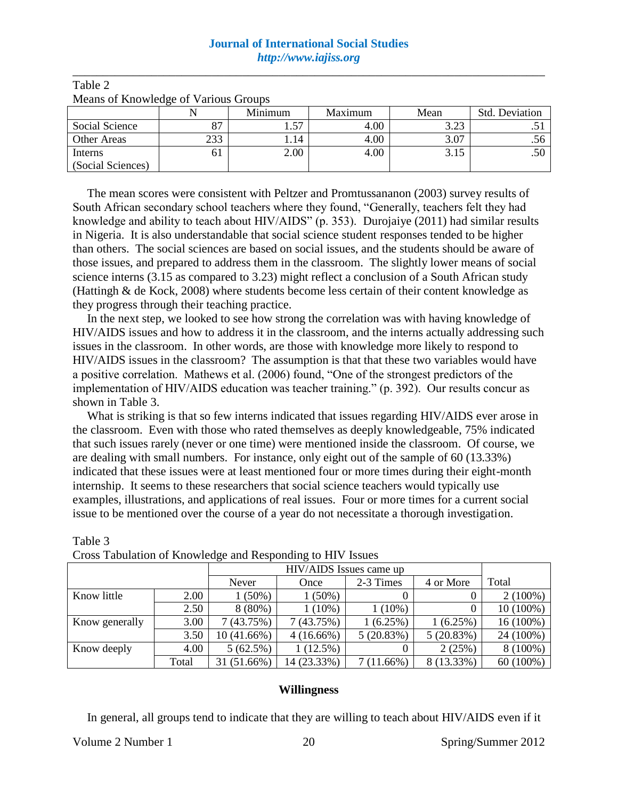## **Journal of International Social Studies**  *http://www.iajiss.org*

\_\_\_\_\_\_\_\_\_\_\_\_\_\_\_\_\_\_\_\_\_\_\_\_\_\_\_\_\_\_\_\_\_\_\_\_\_\_\_\_\_\_\_\_\_\_\_\_\_\_\_\_\_\_\_\_\_\_\_\_\_\_\_\_\_\_\_\_\_\_\_\_\_\_\_\_\_\_

| <b>INDUITS</b> OF IMPORTUGED OF VALIDAS OF OUR PS |     |                                   |      |                  |           |  |
|---------------------------------------------------|-----|-----------------------------------|------|------------------|-----------|--|
|                                                   |     | <b>Minimum</b><br>Maximum<br>Mean |      | Std. Deviation   |           |  |
| Social Science                                    |     |                                   | 4.00 | 3 73<br>ن که د ک | $\cdot$ . |  |
| <b>Other Areas</b>                                | 233 | . . 14                            | 4.00 | 3.07             | .56       |  |
| Interns                                           | 01  | 2.00                              | 4.00 | 3.15             | .50       |  |
| (Social Sciences)                                 |     |                                   |      |                  |           |  |

Table 2 Means of Knowledge of Various Groups

The mean scores were consistent with Peltzer and Promtussananon (2003) survey results of South African secondary school teachers where they found, "Generally, teachers felt they had knowledge and ability to teach about HIV/AIDS" (p. 353). Durojaiye (2011) had similar results in Nigeria. It is also understandable that social science student responses tended to be higher than others. The social sciences are based on social issues, and the students should be aware of those issues, and prepared to address them in the classroom. The slightly lower means of social science interns (3.15 as compared to 3.23) might reflect a conclusion of a South African study (Hattingh & de Kock, 2008) where students become less certain of their content knowledge as they progress through their teaching practice.

In the next step, we looked to see how strong the correlation was with having knowledge of HIV/AIDS issues and how to address it in the classroom, and the interns actually addressing such issues in the classroom. In other words, are those with knowledge more likely to respond to HIV/AIDS issues in the classroom? The assumption is that that these two variables would have a positive correlation. Mathews et al. (2006) found, "One of the strongest predictors of the implementation of HIV/AIDS education was teacher training." (p. 392). Our results concur as shown in Table 3.

What is striking is that so few interns indicated that issues regarding HIV/AIDS ever arose in the classroom. Even with those who rated themselves as deeply knowledgeable, 75% indicated that such issues rarely (never or one time) were mentioned inside the classroom. Of course, we are dealing with small numbers. For instance, only eight out of the sample of 60 (13.33%) indicated that these issues were at least mentioned four or more times during their eight-month internship. It seems to these researchers that social science teachers would typically use examples, illustrations, and applications of real issues. Four or more times for a current social issue to be mentioned over the course of a year do not necessitate a thorough investigation.

|                |       | HIV/AIDS Issues came up                          |              |              |            |             |  |  |
|----------------|-------|--------------------------------------------------|--------------|--------------|------------|-------------|--|--|
|                |       | Total<br>4 or More<br>2-3 Times<br>Never<br>Once |              |              |            |             |  |  |
| Know little    | 2.00  | $(50\%)$                                         | $1(50\%)$    | $\theta$     |            | $2(100\%)$  |  |  |
|                | 2.50  | 8 (80%)                                          | $1(10\%)$    | $1(10\%)$    |            | 10 (100%)   |  |  |
| Know generally | 3.00  | 7(43.75%)                                        | 7(43.75%)    | $(6.25\%)$   | 1(6.25%)   | 16 (100%)   |  |  |
|                | 3.50  | $10(41.66\%)$                                    | $4(16.66\%)$ | 5(20.83%)    | 5(20.83%)  | 24 (100%)   |  |  |
| Know deeply    | 4.00  | 5(62.5%)                                         | 1(12.5%)     | 0            | 2(25%)     | $8(100\%)$  |  |  |
|                | Total | 31 (51.66%)                                      | 14 (23.33%)  | $7(11.66\%)$ | 8 (13.33%) | $60(100\%)$ |  |  |

|  |  | Cross Tabulation of Knowledge and Responding to HIV Issues |  |
|--|--|------------------------------------------------------------|--|

### **Willingness**

In general, all groups tend to indicate that they are willing to teach about HIV/AIDS even if it

Table 3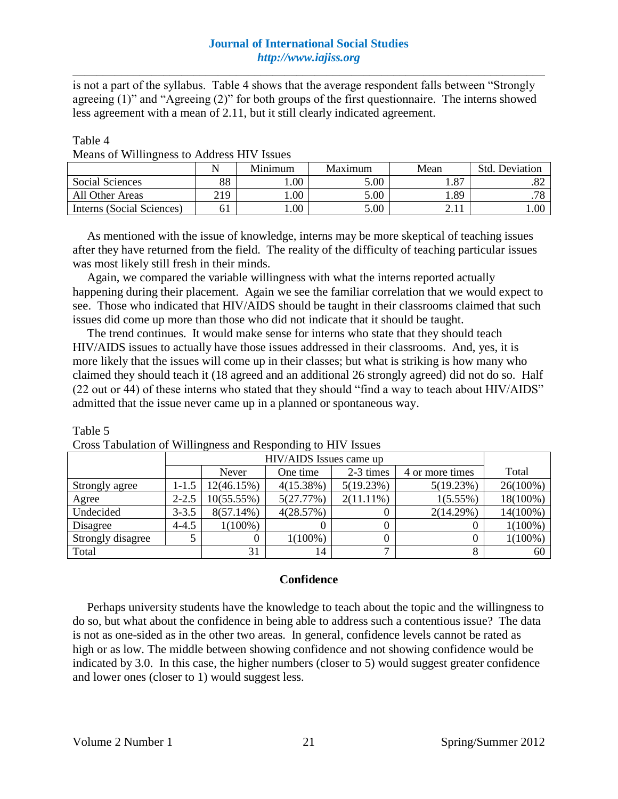is not a part of the syllabus. Table 4 shows that the average respondent falls between "Strongly agreeing (1)" and "Agreeing (2)" for both groups of the first questionnaire. The interns showed less agreement with a mean of 2.11, but it still clearly indicated agreement.

| abie |  |
|------|--|
|------|--|

Table 5

|                           |     | Minimum | Maximum | Mean | Std. Deviation |
|---------------------------|-----|---------|---------|------|----------------|
| Social Sciences           | 88  | .00     | 5.00    | .87  | 2ه.            |
| All Other Areas           | 219 | 00.1    | 5.00    | . 89 | 70<br>.10      |
| Interns (Social Sciences) | 61  | 00.     | 5.00    |      | 1.00           |

As mentioned with the issue of knowledge, interns may be more skeptical of teaching issues after they have returned from the field. The reality of the difficulty of teaching particular issues was most likely still fresh in their minds.

Again, we compared the variable willingness with what the interns reported actually happening during their placement. Again we see the familiar correlation that we would expect to see. Those who indicated that HIV/AIDS should be taught in their classrooms claimed that such issues did come up more than those who did not indicate that it should be taught.

The trend continues. It would make sense for interns who state that they should teach HIV/AIDS issues to actually have those issues addressed in their classrooms. And, yes, it is more likely that the issues will come up in their classes; but what is striking is how many who claimed they should teach it (18 agreed and an additional 26 strongly agreed) did not do so. Half (22 out or 44) of these interns who stated that they should "find a way to teach about HIV/AIDS" admitted that the issue never came up in a planned or spontaneous way.

|                   |           | Never         | One time   | 2-3 times    | 4 or more times | Total       |
|-------------------|-----------|---------------|------------|--------------|-----------------|-------------|
| Strongly agree    | 1-1.5     | 12(46.15%)    | 4(15.38%)  | 5(19.23%)    | 5(19.23%)       | $26(100\%)$ |
| Agree             | $2 - 2.5$ | $10(55.55\%)$ | 5(27.77%)  | $2(11.11\%)$ | $1(5.55\%)$     | $18(100\%)$ |
| Undecided         | $3 - 3.5$ | $8(57.14\%)$  | 4(28.57%)  |              | 2(14.29%)       | 14(100%)    |
| Disagree          | $4 - 4.5$ | $1(100\%)$    |            |              |                 | $1(100\%)$  |
| Strongly disagree |           |               | $1(100\%)$ |              |                 | $1(100\%)$  |
| Total             |           | 31            | 14         | −            |                 | 60          |

Cross Tabulation of Willingness and Responding to HIV Issues

### **Confidence**

Perhaps university students have the knowledge to teach about the topic and the willingness to do so, but what about the confidence in being able to address such a contentious issue? The data is not as one-sided as in the other two areas. In general, confidence levels cannot be rated as high or as low. The middle between showing confidence and not showing confidence would be indicated by 3.0. In this case, the higher numbers (closer to 5) would suggest greater confidence and lower ones (closer to 1) would suggest less.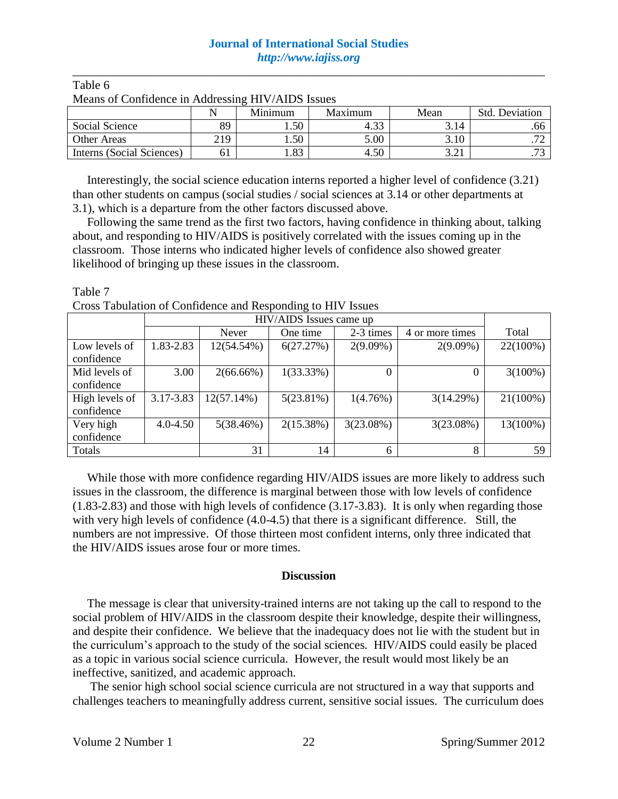## **Journal of International Social Studies**  *http://www.iajiss.org*

\_\_\_\_\_\_\_\_\_\_\_\_\_\_\_\_\_\_\_\_\_\_\_\_\_\_\_\_\_\_\_\_\_\_\_\_\_\_\_\_\_\_\_\_\_\_\_\_\_\_\_\_\_\_\_\_\_\_\_\_\_\_\_\_\_\_\_\_\_\_\_\_\_\_\_\_\_\_

| Means of Confidence in Addressing HIV/AIDS Issues |     |                                                     |      |              |                          |  |  |  |
|---------------------------------------------------|-----|-----------------------------------------------------|------|--------------|--------------------------|--|--|--|
|                                                   |     | <b>Std. Deviation</b><br>Minimum<br>Maximum<br>Mean |      |              |                          |  |  |  |
| Social Science                                    | 89  | . .50                                               | 4.33 | 3.14         | .66                      |  |  |  |
| <b>Other Areas</b>                                | 219 | 1.50                                                | 5.00 | 3.10         |                          |  |  |  |
| Interns (Social Sciences)                         | 61  | 1.83                                                | 4.50 | າ າ:<br>J.Z. | $\overline{\phantom{a}}$ |  |  |  |

#### Table 6 Means of Confidence in Addressing HIV/AIDS Issues

Interestingly, the social science education interns reported a higher level of confidence (3.21) than other students on campus (social studies / social sciences at 3.14 or other departments at 3.1), which is a departure from the other factors discussed above.

Following the same trend as the first two factors, having confidence in thinking about, talking about, and responding to HIV/AIDS is positively correlated with the issues coming up in the classroom. Those interns who indicated higher levels of confidence also showed greater likelihood of bringing up these issues in the classroom.

| Table 7 |                                                             |
|---------|-------------------------------------------------------------|
|         | Cross Tabulation of Confidence and Responding to HIV Issues |
|         | TITT / A TING T                                             |

|                |              | HIV/AIDS Issues came up |           |             |                 |             |  |  |
|----------------|--------------|-------------------------|-----------|-------------|-----------------|-------------|--|--|
|                |              | Never                   | One time  | 2-3 times   | 4 or more times | Total       |  |  |
| Low levels of  | 1.83-2.83    | 12(54.54%)              | 6(27.27%) | $2(9.09\%)$ | $2(9.09\%)$     | 22(100%)    |  |  |
| confidence     |              |                         |           |             |                 |             |  |  |
| Mid levels of  | 3.00         | $2(66.66\%)$            | 1(33.33%) | $\Omega$    |                 | $3(100\%)$  |  |  |
| confidence     |              |                         |           |             |                 |             |  |  |
| High levels of | 3.17-3.83    | $12(57.14\%)$           | 5(23.81%) | 1(4.76%)    | 3(14.29%)       | $21(100\%)$ |  |  |
| confidence     |              |                         |           |             |                 |             |  |  |
| Very high      | $4.0 - 4.50$ | 5(38.46%)               | 2(15.38%) | 3(23.08%)   | 3(23.08%)       | 13(100%)    |  |  |
| confidence     |              |                         |           |             |                 |             |  |  |
| Totals         |              | 31                      | 14        | 6           | 8               | 59          |  |  |

While those with more confidence regarding HIV/AIDS issues are more likely to address such issues in the classroom, the difference is marginal between those with low levels of confidence (1.83-2.83) and those with high levels of confidence (3.17-3.83). It is only when regarding those with very high levels of confidence (4.0-4.5) that there is a significant difference. Still, the numbers are not impressive. Of those thirteen most confident interns, only three indicated that the HIV/AIDS issues arose four or more times.

### **Discussion**

The message is clear that university-trained interns are not taking up the call to respond to the social problem of HIV/AIDS in the classroom despite their knowledge, despite their willingness, and despite their confidence. We believe that the inadequacy does not lie with the student but in the curriculum's approach to the study of the social sciences. HIV/AIDS could easily be placed as a topic in various social science curricula. However, the result would most likely be an ineffective, sanitized, and academic approach.

The senior high school social science curricula are not structured in a way that supports and challenges teachers to meaningfully address current, sensitive social issues. The curriculum does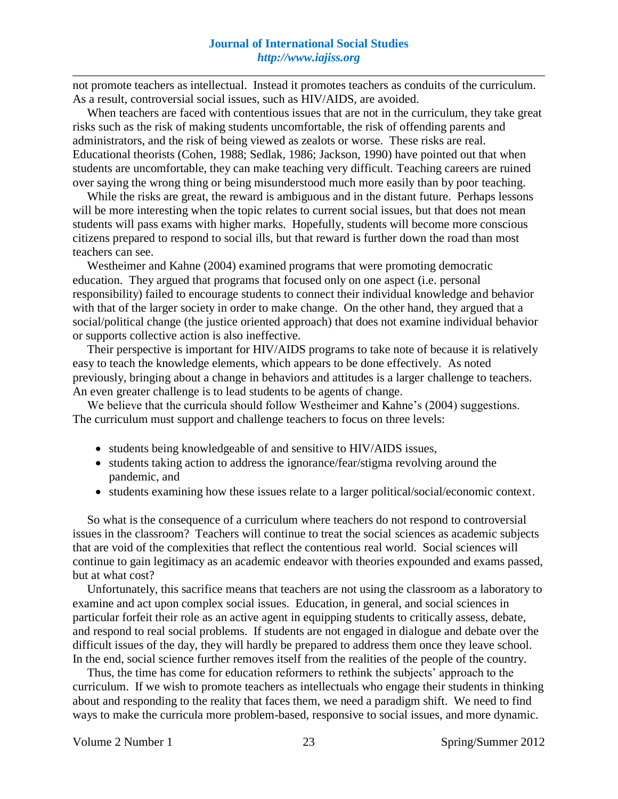not promote teachers as intellectual. Instead it promotes teachers as conduits of the curriculum. As a result, controversial social issues, such as HIV/AIDS, are avoided.

When teachers are faced with contentious issues that are not in the curriculum, they take great risks such as the risk of making students uncomfortable, the risk of offending parents and administrators, and the risk of being viewed as zealots or worse. These risks are real. Educational theorists (Cohen, 1988; Sedlak, 1986; Jackson, 1990) have pointed out that when students are uncomfortable, they can make teaching very difficult. Teaching careers are ruined over saying the wrong thing or being misunderstood much more easily than by poor teaching.

While the risks are great, the reward is ambiguous and in the distant future. Perhaps lessons will be more interesting when the topic relates to current social issues, but that does not mean students will pass exams with higher marks. Hopefully, students will become more conscious citizens prepared to respond to social ills, but that reward is further down the road than most teachers can see.

Westheimer and Kahne (2004) examined programs that were promoting democratic education. They argued that programs that focused only on one aspect (i.e. personal responsibility) failed to encourage students to connect their individual knowledge and behavior with that of the larger society in order to make change. On the other hand, they argued that a social/political change (the justice oriented approach) that does not examine individual behavior or supports collective action is also ineffective.

Their perspective is important for HIV/AIDS programs to take note of because it is relatively easy to teach the knowledge elements, which appears to be done effectively. As noted previously, bringing about a change in behaviors and attitudes is a larger challenge to teachers. An even greater challenge is to lead students to be agents of change.

We believe that the curricula should follow Westheimer and Kahne's (2004) suggestions. The curriculum must support and challenge teachers to focus on three levels:

- students being knowledgeable of and sensitive to HIV/AIDS issues,
- students taking action to address the ignorance/fear/stigma revolving around the pandemic, and
- students examining how these issues relate to a larger political/social/economic context.

So what is the consequence of a curriculum where teachers do not respond to controversial issues in the classroom? Teachers will continue to treat the social sciences as academic subjects that are void of the complexities that reflect the contentious real world. Social sciences will continue to gain legitimacy as an academic endeavor with theories expounded and exams passed, but at what cost?

Unfortunately, this sacrifice means that teachers are not using the classroom as a laboratory to examine and act upon complex social issues. Education, in general, and social sciences in particular forfeit their role as an active agent in equipping students to critically assess, debate, and respond to real social problems. If students are not engaged in dialogue and debate over the difficult issues of the day, they will hardly be prepared to address them once they leave school. In the end, social science further removes itself from the realities of the people of the country.

Thus, the time has come for education reformers to rethink the subjects' approach to the curriculum. If we wish to promote teachers as intellectuals who engage their students in thinking about and responding to the reality that faces them, we need a paradigm shift. We need to find ways to make the curricula more problem-based, responsive to social issues, and more dynamic.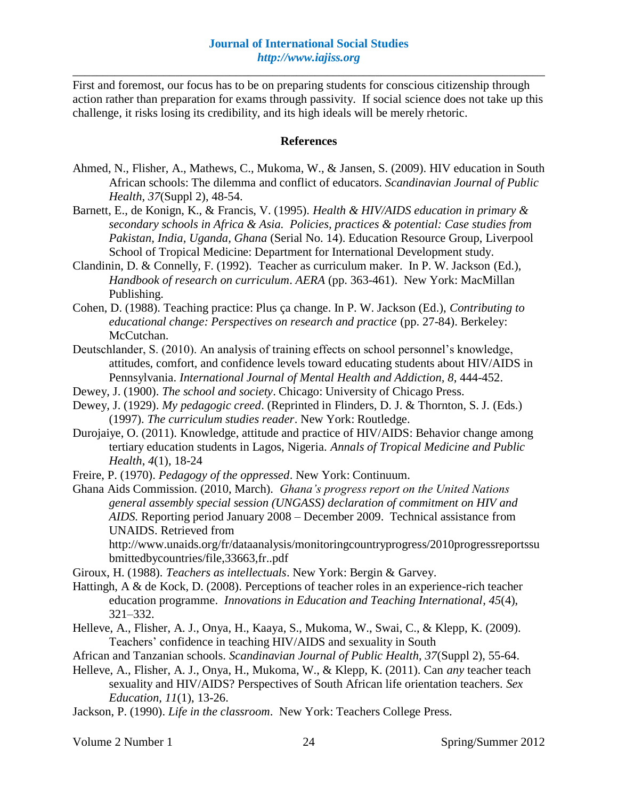First and foremost, our focus has to be on preparing students for conscious citizenship through action rather than preparation for exams through passivity. If social science does not take up this challenge, it risks losing its credibility, and its high ideals will be merely rhetoric.

### **References**

- Ahmed, N., Flisher, A., Mathews, C., Mukoma, W., & Jansen, S. (2009). HIV education in South African schools: The dilemma and conflict of educators. *Scandinavian Journal of Public Health, 37*(Suppl 2), 48-54.
- Barnett, E., de Konign, K., & Francis, V. (1995). *Health & HIV/AIDS education in primary & secondary schools in Africa & Asia. Policies, practices & potential: Case studies from Pakistan, India, Uganda, Ghana* (Serial No. 14). Education Resource Group, Liverpool School of Tropical Medicine: Department for International Development study.
- Clandinin, D. & Connelly, F. (1992). Teacher as curriculum maker. In P. W. Jackson (Ed.), *Handbook of research on curriculum*. *AERA* (pp. 363-461). New York: MacMillan Publishing.
- Cohen, D. (1988). Teaching practice: Plus ça change. In P. W. Jackson (Ed.), *Contributing to educational change: Perspectives on research and practice* (pp. 27-84). Berkeley: McCutchan.
- Deutschlander, S. (2010). An analysis of training effects on school personnel's knowledge, attitudes, comfort, and confidence levels toward educating students about HIV/AIDS in Pennsylvania. *International Journal of Mental Health and Addiction, 8*, 444-452.
- Dewey, J. (1900). *The school and society*. Chicago: University of Chicago Press.
- Dewey, J. (1929). *My pedagogic creed*. (Reprinted in Flinders, D. J. & Thornton, S. J. (Eds.) (1997). *The curriculum studies reader*. New York: Routledge.
- Durojaiye, O. (2011). Knowledge, attitude and practice of HIV/AIDS: Behavior change among tertiary education students in Lagos, Nigeria. *Annals of Tropical Medicine and Public Health*, *4*(1), 18-24
- Freire, P. (1970). *Pedagogy of the oppressed*. New York: Continuum.
- Ghana Aids Commission. (2010, March). *Ghana's progress report on the United Nations general assembly special session (UNGASS) declaration of commitment on HIV and AIDS.* Reporting period January 2008 – December 2009. Technical assistance from UNAIDS. Retrieved from

http://www.unaids.org/fr/dataanalysis/monitoringcountryprogress/2010progressreportssu bmittedbycountries/file,33663,fr..pdf

- Giroux, H. (1988). *Teachers as intellectuals*. New York: Bergin & Garvey.
- Hattingh, A & de Kock, D. (2008). Perceptions of teacher roles in an experience-rich teacher education programme. *Innovations in Education and Teaching International*, *45*(4), 321–332.
- Helleve, A., Flisher, A. J., Onya, H., Kaaya, S., Mukoma, W., Swai, C., & Klepp, K. (2009). Teachers' confidence in teaching HIV/AIDS and sexuality in South
- African and Tanzanian schools. *Scandinavian Journal of Public Health, 37*(Suppl 2), 55-64.
- Helleve, A., Flisher, A. J., Onya, H., Mukoma, W., & Klepp, K. (2011). Can *any* teacher teach sexuality and HIV/AIDS? Perspectives of South African life orientation teachers. *Sex Education, 11*(1), 13-26.
- Jackson, P. (1990). *Life in the classroom*. New York: Teachers College Press.